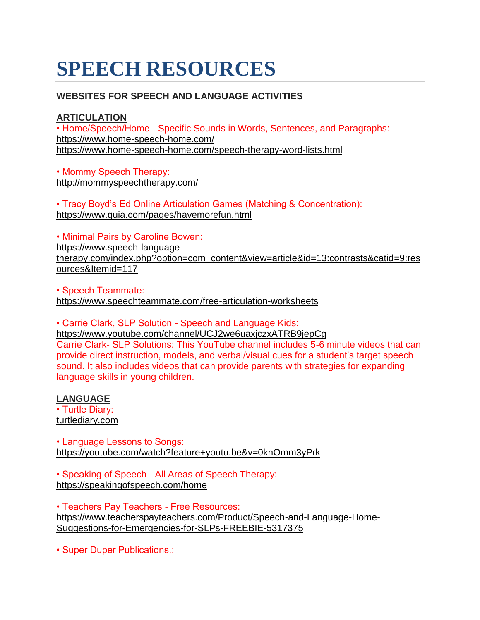# **SPEECH RESOURCES**

## **WEBSITES FOR SPEECH AND LANGUAGE ACTIVITIES**

#### **ARTICULATION**

• Home/Speech/Home - Specific Sounds in Words, Sentences, and Paragraphs: <https://www.home-speech-home.com/> <https://www.home-speech-home.com/speech-therapy-word-lists.html>

• Mommy Speech Therapy: <http://mommyspeechtherapy.com/>

• Tracy Boyd's Ed Online Articulation Games (Matching & Concentration): <https://www.quia.com/pages/havemorefun.html>

• Minimal Pairs by Caroline Bowen:

[https://www.speech-language](https://www.speech-language-therapy.com/index.php?option=com_content&view=article&id=13:contrasts&catid=9:resources&Itemid=117)[therapy.com/index.php?option=com\\_content&view=article&id=13:contrasts&catid=9:res](https://www.speech-language-therapy.com/index.php?option=com_content&view=article&id=13:contrasts&catid=9:resources&Itemid=117) [ources&Itemid=117](https://www.speech-language-therapy.com/index.php?option=com_content&view=article&id=13:contrasts&catid=9:resources&Itemid=117)

• Speech Teammate: <https://www.speechteammate.com/free-articulation-worksheets>

• Carrie Clark, SLP Solution - Speech and Language Kids:

<https://www.youtube.com/channel/UCJ2we6uaxjczxATRB9jepCg> Carrie Clark- SLP Solutions: This YouTube channel includes 5-6 minute videos that can provide direct instruction, models, and verbal/visual cues for a student's target speech sound. It also includes videos that can provide parents with strategies for expanding language skills in young children.

## **LANGUAGE**

• Turtle Diary: [turtlediary.com](http://turtlediary.com/)

• Language Lessons to Songs: <https://youtube.com/watch?feature+youtu.be&v=0knOmm3yPrk>

• Speaking of Speech - All Areas of Speech Therapy: <https://speakingofspeech.com/home>

• Teachers Pay Teachers - Free Resources: [https://www.teacherspayteachers.com/Product/Speech-and-Language-Home-](https://www.teacherspayteachers.com/Product/Speech-and-Language-Home-Suggestions-for-Emergencies-for-SLPs-FREEBIE-5317375)[Suggestions-for-Emergencies-for-SLPs-FREEBIE-5317375](https://www.teacherspayteachers.com/Product/Speech-and-Language-Home-Suggestions-for-Emergencies-for-SLPs-FREEBIE-5317375)

• Super Duper Publications.: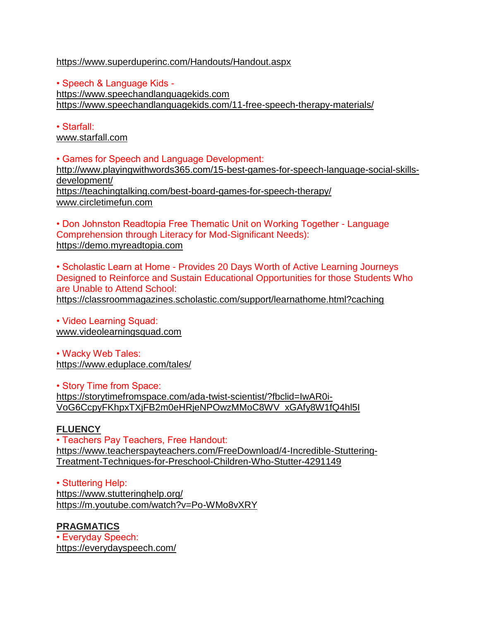#### <https://www.superduperinc.com/Handouts/Handout.aspx>

• Speech & Language Kids [https://www.speechandlanguagekids.com](https://www.speechandlanguagekids.com/) <https://www.speechandlanguagekids.com/11-free-speech-therapy-materials/>

• Starfall: [www.starfall.com](http://www.starfall.com/)

• Games for Speech and Language Development: [http://www.playingwithwords365.com/15-best-games-for-speech-language-social-skills](http://www.playingwithwords365.com/15-best-games-for-speech-language-social-skills-development/)[development/](http://www.playingwithwords365.com/15-best-games-for-speech-language-social-skills-development/) <https://teachingtalking.com/best-board-games-for-speech-therapy/> [www.circletimefun.com](http://www.circletimefun.com/)

• Don Johnston Readtopia Free Thematic Unit on Working Together - Language Comprehension through Literacy for Mod-Significant Needs): [https://demo.myreadtopia.com](https://demo.myreadtopia.com/)

• Scholastic Learn at Home - Provides 20 Days Worth of Active Learning Journeys Designed to Reinforce and Sustain Educational Opportunities for those Students Who are Unable to Attend School: <https://classroommagazines.scholastic.com/support/learnathome.html?caching>

• Video Learning Squad: [www.videolearningsquad.com](http://www.videolearningsquad.com/)

• Wacky Web Tales: <https://www.eduplace.com/tales/>

• Story Time from Space: [https://storytimefromspace.com/ada-twist-scientist/?fbclid=IwAR0i-](https://storytimefromspace.com/ada-twist-scientist/?fbclid=IwAR0i-VoG6CcpyFKhpxTXjFB2m0eHRjeNPOwzMMoC8WV_xGAfy8W1fQ4hl5I)[VoG6CcpyFKhpxTXjFB2m0eHRjeNPOwzMMoC8WV\\_xGAfy8W1fQ4hl5I](https://storytimefromspace.com/ada-twist-scientist/?fbclid=IwAR0i-VoG6CcpyFKhpxTXjFB2m0eHRjeNPOwzMMoC8WV_xGAfy8W1fQ4hl5I)

## **FLUENCY**

• Teachers Pay Teachers, Free Handout: [https://www.teacherspayteachers.com/FreeDownload/4-Incredible-Stuttering-](https://www.teacherspayteachers.com/FreeDownload/4-Incredible-Stuttering-Treatment-Techniques-for-Preschool-Children-Who-Stutter-4291149)[Treatment-Techniques-for-Preschool-Children-Who-Stutter-4291149](https://www.teacherspayteachers.com/FreeDownload/4-Incredible-Stuttering-Treatment-Techniques-for-Preschool-Children-Who-Stutter-4291149)

• Stuttering Help: <https://www.stutteringhelp.org/> <https://m.youtube.com/watch?v=Po-WMo8vXRY>

## **PRAGMATICS**

• Everyday Speech: <https://everydayspeech.com/>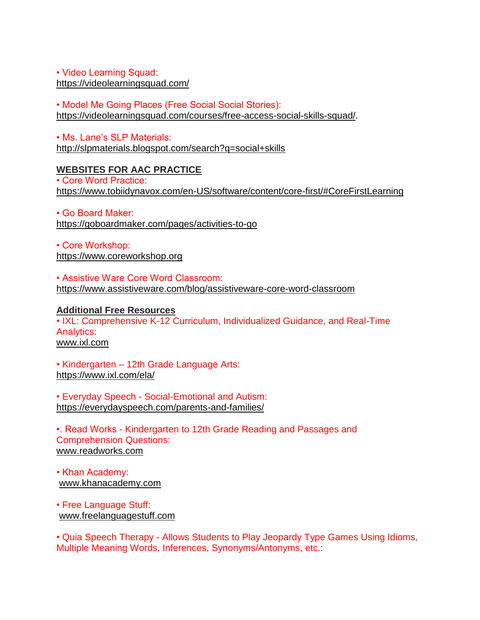#### • Video Learning Squad: <https://videolearningsquad.com/>

• Model Me Going Places (Free Social Social Stories): [https://videolearningsquad.com/courses/free-access-social-skills-squad/.](https://videolearningsquad.com/courses/free-access-social-skills-squad/)

• Ms. Lane's SLP Materials: <http://slpmaterials.blogspot.com/search?q=social+skills>

# **WEBSITES FOR AAC PRACTICE**

• Core Word Practice: <https://www.tobiidynavox.com/en-US/software/content/core-first/#CoreFirstLearning>

• Go Board Maker: <https://goboardmaker.com/pages/activities-to-go>

• Core Workshop: [https://www.coreworkshop.org](https://www.coreworkshop.org/)

• Assistive Ware Core Word Classroom: <https://www.assistiveware.com/blog/assistiveware-core-word-classroom>

#### **Additional Free Resources** • IXL: Comprehensive K-12 Curriculum, Individualized Guidance, and Real-Time Analytics: [www.ixl.com](http://www.ixl.com/)

• Kindergarten – 12th Grade Language Arts: <https://www.ixl.com/ela/>

• Everyday Speech - Social-Emotional and Autism: <https://everydayspeech.com/parents-and-families/>

•. Read Works - Kindergarten to 12th Grade Reading and Passages and Comprehension Questions: [www.readworks.com](http://www.readworks.com/)

• Khan Academy: [www.khanacademy.com](http://www.khanacademy.com/)

• Free Language Stuff: [www.freelanguagestuff.com](http://www.freelanguagestuff.com/)

• Quia Speech Therapy - Allows Students to Play Jeopardy Type Games Using Idioms, Multiple Meaning Words, Inferences, Synonyms/Antonyms, etc.: